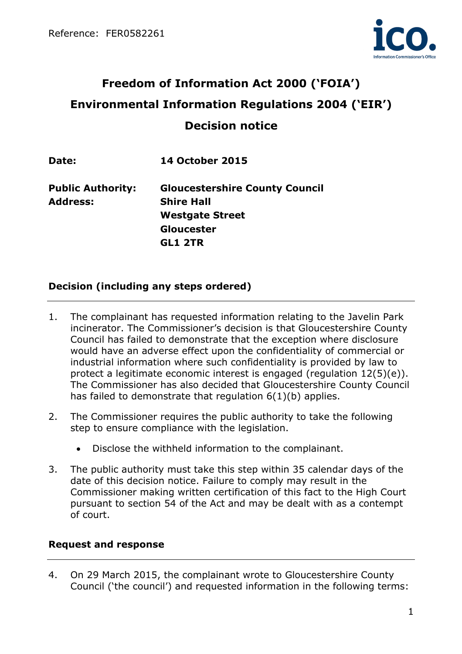

# **Freedom of Information Act 2000 ('FOIA') Environmental Information Regulations 2004 ('EIR') Decision notice**

**Date: 14 October 2015** 

**Public Authority: Gloucestershire County Council Address: Shire Hall Westgate Street Gloucester GL1 2TR** 

# **Decision (including any steps ordered)**

- 1. The complainant has requested information relating to the Javelin Park incinerator. The Commissioner's decision is that Gloucestershire County Council has failed to demonstrate that the exception where disclosure would have an adverse effect upon the confidentiality of commercial or industrial information where such confidentiality is provided by law to protect a legitimate economic interest is engaged (regulation 12(5)(e)). The Commissioner has also decided that Gloucestershire County Council has failed to demonstrate that regulation 6(1)(b) applies.
- 2. The Commissioner requires the public authority to take the following step to ensure compliance with the legislation.
	- Disclose the withheld information to the complainant.
- 3. The public authority must take this step within 35 calendar days of the date of this decision notice. Failure to comply may result in the Commissioner making written certification of this fact to the High Court pursuant to section 54 of the Act and may be dealt with as a contempt of court.

# **Request and response**

4. On 29 March 2015, the complainant wrote to Gloucestershire County Council ('the council') and requested information in the following terms: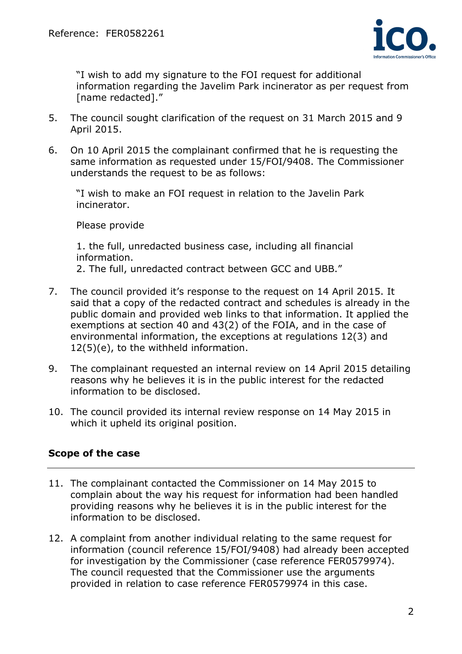

 "I wish to add my signature to the FOI request for additional information regarding the Javelim Park incinerator as per request from [name redacted]."

- 5. The council sought clarification of the request on 31 March 2015 and 9 April 2015.
- 6. On 10 April 2015 the complainant confirmed that he is requesting the same information as requested under 15/FOI/9408. The Commissioner understands the request to be as follows:

 "I wish to make an FOI request in relation to the Javelin Park incinerator.

Please provide

 1. the full, unredacted business case, including all financial information.

2. The full, unredacted contract between GCC and UBB."

- 7. The council provided it's response to the request on 14 April 2015. It said that a copy of the redacted contract and schedules is already in the public domain and provided web links to that information. It applied the exemptions at section 40 and 43(2) of the FOIA, and in the case of environmental information, the exceptions at regulations 12(3) and 12(5)(e), to the withheld information.
- 9. The complainant requested an internal review on 14 April 2015 detailing reasons why he believes it is in the public interest for the redacted information to be disclosed.
- 10. The council provided its internal review response on 14 May 2015 in which it upheld its original position.

# **Scope of the case**

- 11. The complainant contacted the Commissioner on 14 May 2015 to complain about the way his request for information had been handled providing reasons why he believes it is in the public interest for the information to be disclosed.
- 12. A complaint from another individual relating to the same request for information (council reference 15/FOI/9408) had already been accepted for investigation by the Commissioner (case reference FER0579974). The council requested that the Commissioner use the arguments provided in relation to case reference FER0579974 in this case.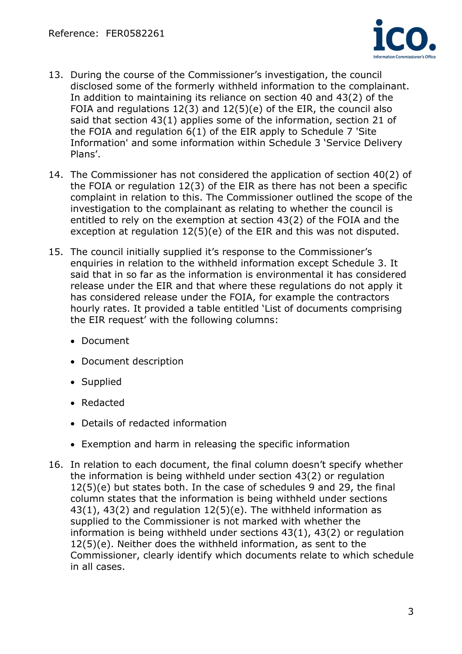

- 13. During the course of the Commissioner's investigation, the council disclosed some of the formerly withheld information to the complainant. In addition to maintaining its reliance on section 40 and 43(2) of the FOIA and regulations  $12(3)$  and  $12(5)(e)$  of the EIR, the council also said that section 43(1) applies some of the information, section 21 of the FOIA and regulation 6(1) of the EIR apply to Schedule 7 'Site Information' and some information within Schedule 3 'Service Delivery Plans'.
- 14. The Commissioner has not considered the application of section 40(2) of the FOIA or regulation 12(3) of the EIR as there has not been a specific complaint in relation to this. The Commissioner outlined the scope of the investigation to the complainant as relating to whether the council is entitled to rely on the exemption at section 43(2) of the FOIA and the exception at regulation 12(5)(e) of the EIR and this was not disputed.
- 15. The council initially supplied it's response to the Commissioner's enquiries in relation to the withheld information except Schedule 3. It said that in so far as the information is environmental it has considered release under the EIR and that where these regulations do not apply it has considered release under the FOIA, for example the contractors hourly rates. It provided a table entitled 'List of documents comprising the EIR request' with the following columns:
	- Document
	- Document description
	- Supplied
	- Redacted
	- Details of redacted information
	- Exemption and harm in releasing the specific information
- 16. In relation to each document, the final column doesn't specify whether the information is being withheld under section 43(2) or regulation 12(5)(e) but states both. In the case of schedules 9 and 29, the final column states that the information is being withheld under sections 43(1), 43(2) and regulation 12(5)(e). The withheld information as supplied to the Commissioner is not marked with whether the information is being withheld under sections 43(1), 43(2) or regulation 12(5)(e). Neither does the withheld information, as sent to the Commissioner, clearly identify which documents relate to which schedule in all cases.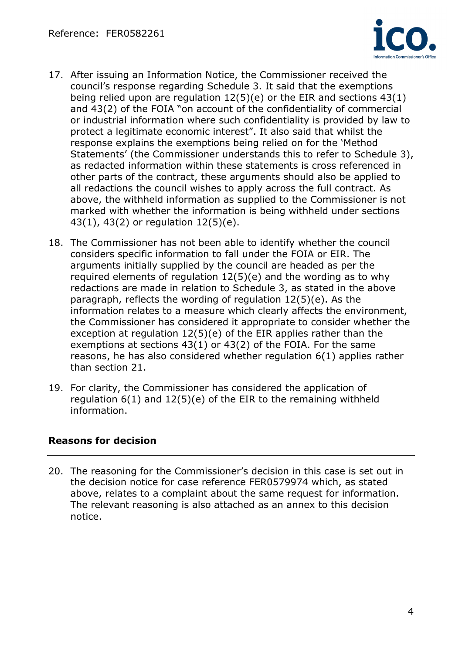

- 17. After issuing an Information Notice, the Commissioner received the council's response regarding Schedule 3. It said that the exemptions being relied upon are regulation 12(5)(e) or the EIR and sections 43(1) and 43(2) of the FOIA "on account of the confidentiality of commercial or industrial information where such confidentiality is provided by law to protect a legitimate economic interest". It also said that whilst the response explains the exemptions being relied on for the 'Method Statements' (the Commissioner understands this to refer to Schedule 3), as redacted information within these statements is cross referenced in other parts of the contract, these arguments should also be applied to all redactions the council wishes to apply across the full contract. As above, the withheld information as supplied to the Commissioner is not marked with whether the information is being withheld under sections 43(1), 43(2) or regulation 12(5)(e).
- 18. The Commissioner has not been able to identify whether the council considers specific information to fall under the FOIA or EIR. The arguments initially supplied by the council are headed as per the required elements of requlation  $12(5)(e)$  and the wording as to why redactions are made in relation to Schedule 3, as stated in the above paragraph, reflects the wording of regulation 12(5)(e). As the information relates to a measure which clearly affects the environment, the Commissioner has considered it appropriate to consider whether the exception at regulation 12(5)(e) of the EIR applies rather than the exemptions at sections 43(1) or 43(2) of the FOIA. For the same reasons, he has also considered whether regulation 6(1) applies rather than section 21.
- 19. For clarity, the Commissioner has considered the application of regulation 6(1) and 12(5)(e) of the EIR to the remaining withheld information.

# **Reasons for decision**

20. The reasoning for the Commissioner's decision in this case is set out in the decision notice for case reference FER0579974 which, as stated above, relates to a complaint about the same request for information. The relevant reasoning is also attached as an annex to this decision notice.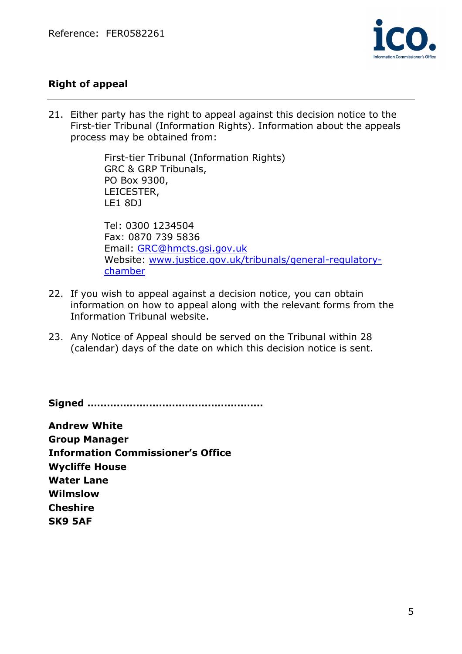

# **Right of appeal**

21. Either party has the right to appeal against this decision notice to the First-tier Tribunal (Information Rights). Information about the appeals process may be obtained from:

> First-tier Tribunal (Information Rights) GRC & GRP Tribunals, PO Box 9300, LEICESTER, LE1 8DJ

Tel: 0300 1234504 Fax: 0870 739 5836 Email: GRC@hmcts.gsi.gov.uk Website: www.justice.gov.uk/tribunals/general-regulatorychamber

- 22. If you wish to appeal against a decision notice, you can obtain information on how to appeal along with the relevant forms from the Information Tribunal website.
- 23. Any Notice of Appeal should be served on the Tribunal within 28 (calendar) days of the date on which this decision notice is sent.

**Signed ………………………………………………** 

**Andrew White Group Manager Information Commissioner's Office Wycliffe House Water Lane Wilmslow Cheshire SK9 5AF**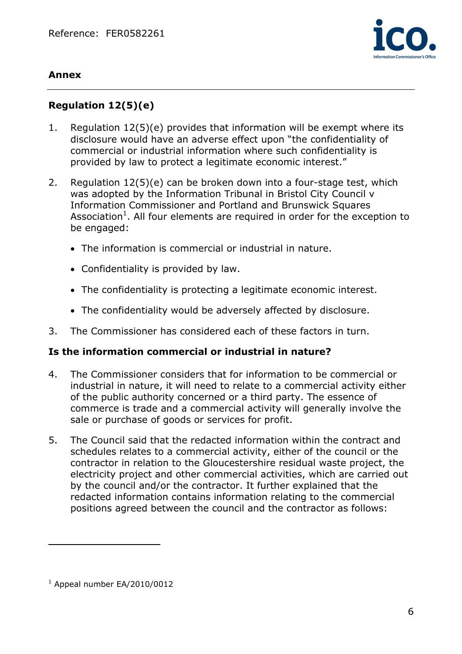

### **Annex**

# **Regulation 12(5)(e)**

- 1. Regulation 12(5)(e) provides that information will be exempt where its disclosure would have an adverse effect upon "the confidentiality of commercial or industrial information where such confidentiality is provided by law to protect a legitimate economic interest."
- 2. Regulation 12(5)(e) can be broken down into a four-stage test, which was adopted by the Information Tribunal in Bristol City Council v Information Commissioner and Portland and Brunswick Squares Association<sup>1</sup>. All four elements are required in order for the exception to be engaged:
	- The information is commercial or industrial in nature.
	- Confidentiality is provided by law.
	- The confidentiality is protecting a legitimate economic interest.
	- The confidentiality would be adversely affected by disclosure.
- 3. The Commissioner has considered each of these factors in turn.

#### **Is the information commercial or industrial in nature?**

- 4. The Commissioner considers that for information to be commercial or industrial in nature, it will need to relate to a commercial activity either of the public authority concerned or a third party. The essence of commerce is trade and a commercial activity will generally involve the sale or purchase of goods or services for profit.
- 5. The Council said that the redacted information within the contract and schedules relates to a commercial activity, either of the council or the contractor in relation to the Gloucestershire residual waste project, the electricity project and other commercial activities, which are carried out by the council and/or the contractor. It further explained that the redacted information contains information relating to the commercial positions agreed between the council and the contractor as follows:

 $\overline{a}$ 

 $1$  Appeal number EA/2010/0012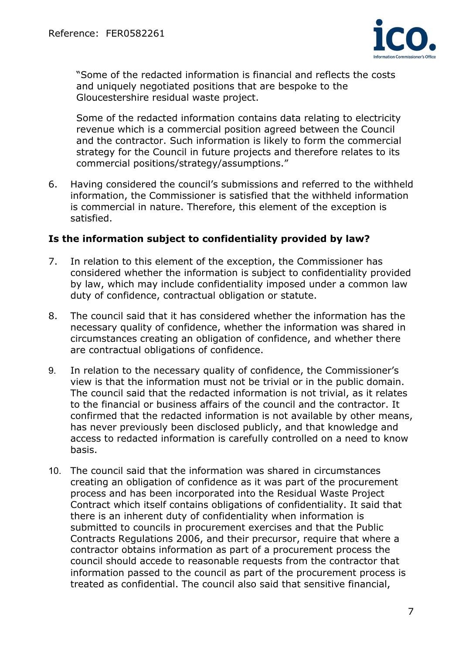

 "Some of the redacted information is financial and reflects the costs and uniquely negotiated positions that are bespoke to the Gloucestershire residual waste project.

 Some of the redacted information contains data relating to electricity revenue which is a commercial position agreed between the Council and the contractor. Such information is likely to form the commercial strategy for the Council in future projects and therefore relates to its commercial positions/strategy/assumptions."

6. Having considered the council's submissions and referred to the withheld information, the Commissioner is satisfied that the withheld information is commercial in nature. Therefore, this element of the exception is satisfied.

### **Is the information subject to confidentiality provided by law?**

- 7. In relation to this element of the exception, the Commissioner has considered whether the information is subject to confidentiality provided by law, which may include confidentiality imposed under a common law duty of confidence, contractual obligation or statute.
- 8. The council said that it has considered whether the information has the necessary quality of confidence, whether the information was shared in circumstances creating an obligation of confidence, and whether there are contractual obligations of confidence.
- 9. In relation to the necessary quality of confidence, the Commissioner's view is that the information must not be trivial or in the public domain. The council said that the redacted information is not trivial, as it relates to the financial or business affairs of the council and the contractor. It confirmed that the redacted information is not available by other means, has never previously been disclosed publicly, and that knowledge and access to redacted information is carefully controlled on a need to know basis.
- 10. The council said that the information was shared in circumstances creating an obligation of confidence as it was part of the procurement process and has been incorporated into the Residual Waste Project Contract which itself contains obligations of confidentiality. It said that there is an inherent duty of confidentiality when information is submitted to councils in procurement exercises and that the Public Contracts Regulations 2006, and their precursor, require that where a contractor obtains information as part of a procurement process the council should accede to reasonable requests from the contractor that information passed to the council as part of the procurement process is treated as confidential. The council also said that sensitive financial,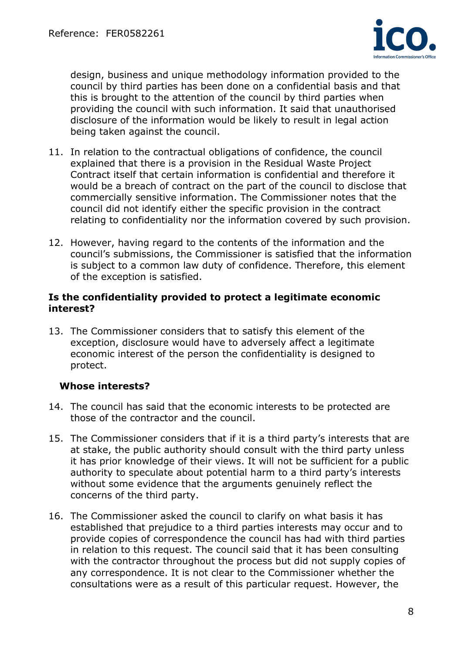

design, business and unique methodology information provided to the council by third parties has been done on a confidential basis and that this is brought to the attention of the council by third parties when providing the council with such information. It said that unauthorised disclosure of the information would be likely to result in legal action being taken against the council.

- 11. In relation to the contractual obligations of confidence, the council explained that there is a provision in the Residual Waste Project Contract itself that certain information is confidential and therefore it would be a breach of contract on the part of the council to disclose that commercially sensitive information. The Commissioner notes that the council did not identify either the specific provision in the contract relating to confidentiality nor the information covered by such provision.
- 12. However, having regard to the contents of the information and the council's submissions, the Commissioner is satisfied that the information is subject to a common law duty of confidence. Therefore, this element of the exception is satisfied.

#### **Is the confidentiality provided to protect a legitimate economic interest?**

13. The Commissioner considers that to satisfy this element of the exception, disclosure would have to adversely affect a legitimate economic interest of the person the confidentiality is designed to protect.

# **Whose interests?**

- 14. The council has said that the economic interests to be protected are those of the contractor and the council.
- 15. The Commissioner considers that if it is a third party's interests that are at stake, the public authority should consult with the third party unless it has prior knowledge of their views. It will not be sufficient for a public authority to speculate about potential harm to a third party's interests without some evidence that the arguments genuinely reflect the concerns of the third party.
- 16. The Commissioner asked the council to clarify on what basis it has established that prejudice to a third parties interests may occur and to provide copies of correspondence the council has had with third parties in relation to this request. The council said that it has been consulting with the contractor throughout the process but did not supply copies of any correspondence. It is not clear to the Commissioner whether the consultations were as a result of this particular request. However, the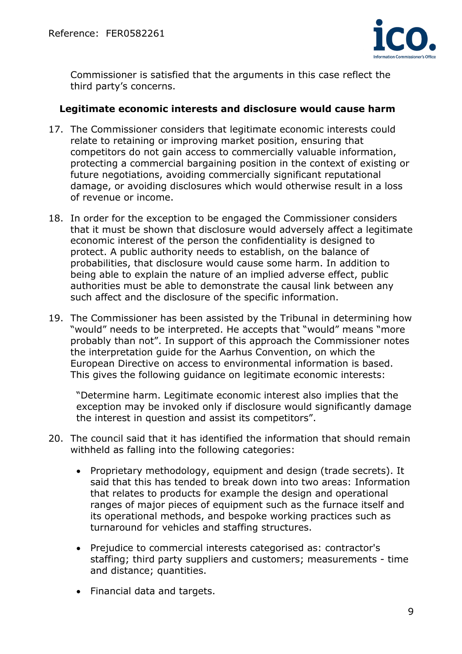

Commissioner is satisfied that the arguments in this case reflect the third party's concerns.

#### **Legitimate economic interests and disclosure would cause harm**

- 17. The Commissioner considers that legitimate economic interests could relate to retaining or improving market position, ensuring that competitors do not gain access to commercially valuable information, protecting a commercial bargaining position in the context of existing or future negotiations, avoiding commercially significant reputational damage, or avoiding disclosures which would otherwise result in a loss of revenue or income.
- 18. In order for the exception to be engaged the Commissioner considers that it must be shown that disclosure would adversely affect a legitimate economic interest of the person the confidentiality is designed to protect. A public authority needs to establish, on the balance of probabilities, that disclosure would cause some harm. In addition to being able to explain the nature of an implied adverse effect, public authorities must be able to demonstrate the causal link between any such affect and the disclosure of the specific information.
- 19. The Commissioner has been assisted by the Tribunal in determining how "would" needs to be interpreted. He accepts that "would" means "more probably than not". In support of this approach the Commissioner notes the interpretation guide for the Aarhus Convention, on which the European Directive on access to environmental information is based. This gives the following guidance on legitimate economic interests:

 "Determine harm. Legitimate economic interest also implies that the exception may be invoked only if disclosure would significantly damage the interest in question and assist its competitors".

- 20. The council said that it has identified the information that should remain withheld as falling into the following categories:
	- Proprietary methodology, equipment and design (trade secrets). It said that this has tended to break down into two areas: Information that relates to products for example the design and operational ranges of major pieces of equipment such as the furnace itself and its operational methods, and bespoke working practices such as turnaround for vehicles and staffing structures.
	- Prejudice to commercial interests categorised as: contractor's staffing; third party suppliers and customers; measurements - time and distance; quantities.
	- Financial data and targets.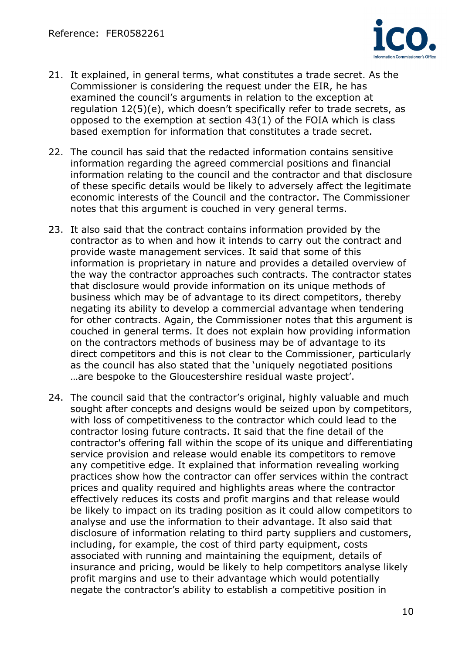

- 21. It explained, in general terms, what constitutes a trade secret. As the Commissioner is considering the request under the EIR, he has examined the council's arguments in relation to the exception at regulation 12(5)(e), which doesn't specifically refer to trade secrets, as opposed to the exemption at section 43(1) of the FOIA which is class based exemption for information that constitutes a trade secret.
- 22. The council has said that the redacted information contains sensitive information regarding the agreed commercial positions and financial information relating to the council and the contractor and that disclosure of these specific details would be likely to adversely affect the legitimate economic interests of the Council and the contractor. The Commissioner notes that this argument is couched in very general terms.
- 23. It also said that the contract contains information provided by the contractor as to when and how it intends to carry out the contract and provide waste management services. It said that some of this information is proprietary in nature and provides a detailed overview of the way the contractor approaches such contracts. The contractor states that disclosure would provide information on its unique methods of business which may be of advantage to its direct competitors, thereby negating its ability to develop a commercial advantage when tendering for other contracts. Again, the Commissioner notes that this argument is couched in general terms. It does not explain how providing information on the contractors methods of business may be of advantage to its direct competitors and this is not clear to the Commissioner, particularly as the council has also stated that the 'uniquely negotiated positions …are bespoke to the Gloucestershire residual waste project'.
- 24. The council said that the contractor's original, highly valuable and much sought after concepts and designs would be seized upon by competitors, with loss of competitiveness to the contractor which could lead to the contractor losing future contracts. It said that the fine detail of the contractor's offering fall within the scope of its unique and differentiating service provision and release would enable its competitors to remove any competitive edge. It explained that information revealing working practices show how the contractor can offer services within the contract prices and quality required and highlights areas where the contractor effectively reduces its costs and profit margins and that release would be likely to impact on its trading position as it could allow competitors to analyse and use the information to their advantage. It also said that disclosure of information relating to third party suppliers and customers, including, for example, the cost of third party equipment, costs associated with running and maintaining the equipment, details of insurance and pricing, would be likely to help competitors analyse likely profit margins and use to their advantage which would potentially negate the contractor's ability to establish a competitive position in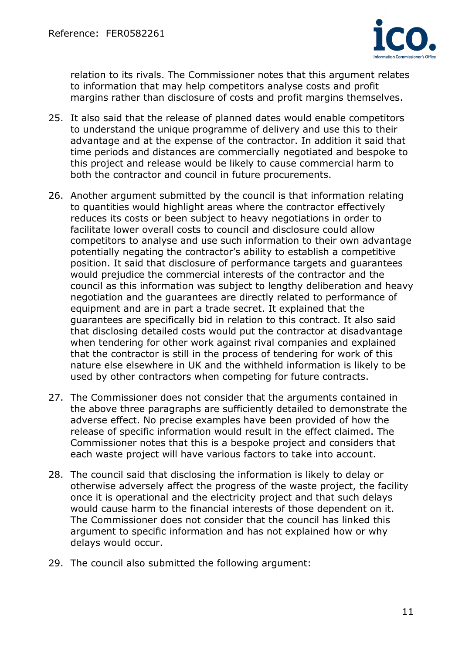

relation to its rivals. The Commissioner notes that this argument relates to information that may help competitors analyse costs and profit margins rather than disclosure of costs and profit margins themselves.

- 25. It also said that the release of planned dates would enable competitors to understand the unique programme of delivery and use this to their advantage and at the expense of the contractor. In addition it said that time periods and distances are commercially negotiated and bespoke to this project and release would be likely to cause commercial harm to both the contractor and council in future procurements.
- 26. Another argument submitted by the council is that information relating to quantities would highlight areas where the contractor effectively reduces its costs or been subject to heavy negotiations in order to facilitate lower overall costs to council and disclosure could allow competitors to analyse and use such information to their own advantage potentially negating the contractor's ability to establish a competitive position. It said that disclosure of performance targets and guarantees would prejudice the commercial interests of the contractor and the council as this information was subject to lengthy deliberation and heavy negotiation and the guarantees are directly related to performance of equipment and are in part a trade secret. It explained that the guarantees are specifically bid in relation to this contract. It also said that disclosing detailed costs would put the contractor at disadvantage when tendering for other work against rival companies and explained that the contractor is still in the process of tendering for work of this nature else elsewhere in UK and the withheld information is likely to be used by other contractors when competing for future contracts.
- 27. The Commissioner does not consider that the arguments contained in the above three paragraphs are sufficiently detailed to demonstrate the adverse effect. No precise examples have been provided of how the release of specific information would result in the effect claimed. The Commissioner notes that this is a bespoke project and considers that each waste project will have various factors to take into account.
- 28. The council said that disclosing the information is likely to delay or otherwise adversely affect the progress of the waste project, the facility once it is operational and the electricity project and that such delays would cause harm to the financial interests of those dependent on it. The Commissioner does not consider that the council has linked this argument to specific information and has not explained how or why delays would occur.
- 29. The council also submitted the following argument: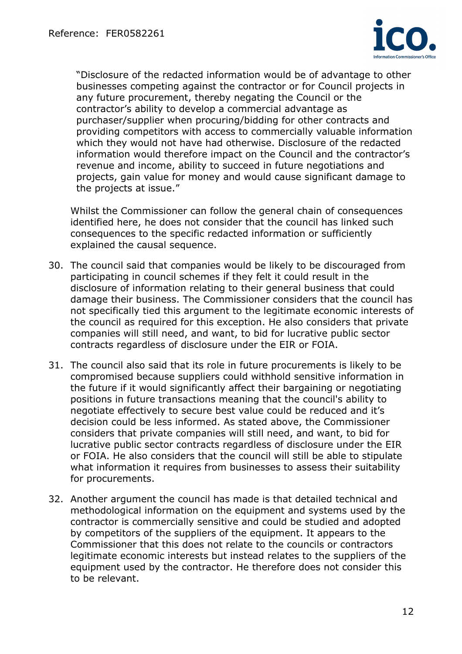

 "Disclosure of the redacted information would be of advantage to other businesses competing against the contractor or for Council projects in any future procurement, thereby negating the Council or the contractor's ability to develop a commercial advantage as purchaser/supplier when procuring/bidding for other contracts and providing competitors with access to commercially valuable information which they would not have had otherwise. Disclosure of the redacted information would therefore impact on the Council and the contractor's revenue and income, ability to succeed in future negotiations and projects, gain value for money and would cause significant damage to the projects at issue."

Whilst the Commissioner can follow the general chain of consequences identified here, he does not consider that the council has linked such consequences to the specific redacted information or sufficiently explained the causal sequence.

- 30. The council said that companies would be likely to be discouraged from participating in council schemes if they felt it could result in the disclosure of information relating to their general business that could damage their business. The Commissioner considers that the council has not specifically tied this argument to the legitimate economic interests of the council as required for this exception. He also considers that private companies will still need, and want, to bid for lucrative public sector contracts regardless of disclosure under the EIR or FOIA.
- 31. The council also said that its role in future procurements is likely to be compromised because suppliers could withhold sensitive information in the future if it would significantly affect their bargaining or negotiating positions in future transactions meaning that the council's ability to negotiate effectively to secure best value could be reduced and it's decision could be less informed. As stated above, the Commissioner considers that private companies will still need, and want, to bid for lucrative public sector contracts regardless of disclosure under the EIR or FOIA. He also considers that the council will still be able to stipulate what information it requires from businesses to assess their suitability for procurements.
- 32. Another argument the council has made is that detailed technical and methodological information on the equipment and systems used by the contractor is commercially sensitive and could be studied and adopted by competitors of the suppliers of the equipment. It appears to the Commissioner that this does not relate to the councils or contractors legitimate economic interests but instead relates to the suppliers of the equipment used by the contractor. He therefore does not consider this to be relevant.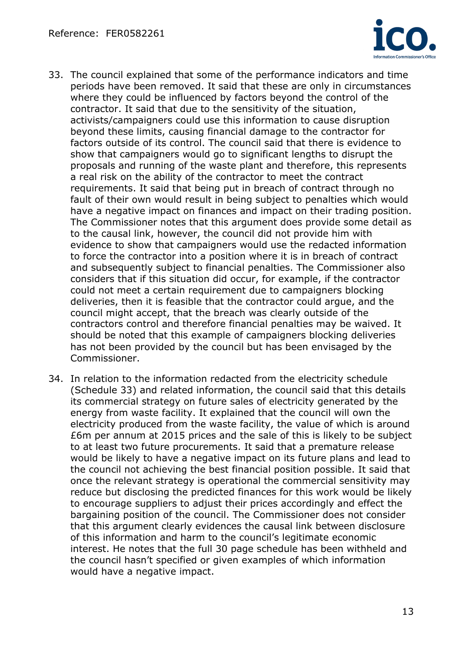

- 33. The council explained that some of the performance indicators and time periods have been removed. It said that these are only in circumstances where they could be influenced by factors beyond the control of the contractor. It said that due to the sensitivity of the situation, activists/campaigners could use this information to cause disruption beyond these limits, causing financial damage to the contractor for factors outside of its control. The council said that there is evidence to show that campaigners would go to significant lengths to disrupt the proposals and running of the waste plant and therefore, this represents a real risk on the ability of the contractor to meet the contract requirements. It said that being put in breach of contract through no fault of their own would result in being subject to penalties which would have a negative impact on finances and impact on their trading position. The Commissioner notes that this argument does provide some detail as to the causal link, however, the council did not provide him with evidence to show that campaigners would use the redacted information to force the contractor into a position where it is in breach of contract and subsequently subject to financial penalties. The Commissioner also considers that if this situation did occur, for example, if the contractor could not meet a certain requirement due to campaigners blocking deliveries, then it is feasible that the contractor could argue, and the council might accept, that the breach was clearly outside of the contractors control and therefore financial penalties may be waived. It should be noted that this example of campaigners blocking deliveries has not been provided by the council but has been envisaged by the Commissioner.
- 34. In relation to the information redacted from the electricity schedule (Schedule 33) and related information, the council said that this details its commercial strategy on future sales of electricity generated by the energy from waste facility. It explained that the council will own the electricity produced from the waste facility, the value of which is around £6m per annum at 2015 prices and the sale of this is likely to be subject to at least two future procurements. It said that a premature release would be likely to have a negative impact on its future plans and lead to the council not achieving the best financial position possible. It said that once the relevant strategy is operational the commercial sensitivity may reduce but disclosing the predicted finances for this work would be likely to encourage suppliers to adjust their prices accordingly and effect the bargaining position of the council. The Commissioner does not consider that this argument clearly evidences the causal link between disclosure of this information and harm to the council's legitimate economic interest. He notes that the full 30 page schedule has been withheld and the council hasn't specified or given examples of which information would have a negative impact.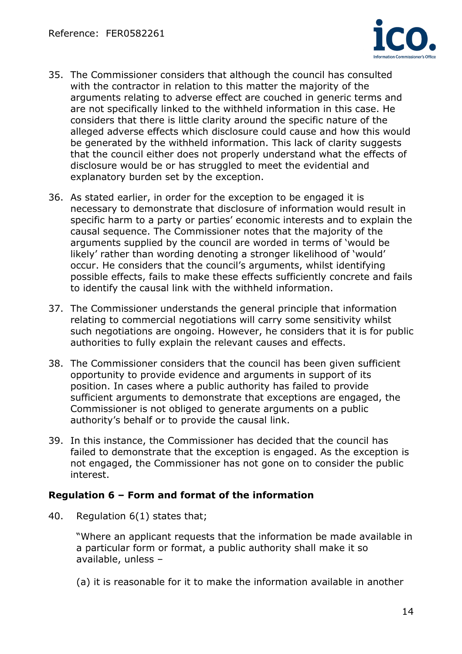

- 35. The Commissioner considers that although the council has consulted with the contractor in relation to this matter the majority of the arguments relating to adverse effect are couched in generic terms and are not specifically linked to the withheld information in this case. He considers that there is little clarity around the specific nature of the alleged adverse effects which disclosure could cause and how this would be generated by the withheld information. This lack of clarity suggests that the council either does not properly understand what the effects of disclosure would be or has struggled to meet the evidential and explanatory burden set by the exception.
- 36. As stated earlier, in order for the exception to be engaged it is necessary to demonstrate that disclosure of information would result in specific harm to a party or parties' economic interests and to explain the causal sequence. The Commissioner notes that the majority of the arguments supplied by the council are worded in terms of 'would be likely' rather than wording denoting a stronger likelihood of 'would' occur. He considers that the council's arguments, whilst identifying possible effects, fails to make these effects sufficiently concrete and fails to identify the causal link with the withheld information.
- 37. The Commissioner understands the general principle that information relating to commercial negotiations will carry some sensitivity whilst such negotiations are ongoing. However, he considers that it is for public authorities to fully explain the relevant causes and effects.
- 38. The Commissioner considers that the council has been given sufficient opportunity to provide evidence and arguments in support of its position. In cases where a public authority has failed to provide sufficient arguments to demonstrate that exceptions are engaged, the Commissioner is not obliged to generate arguments on a public authority's behalf or to provide the causal link.
- 39. In this instance, the Commissioner has decided that the council has failed to demonstrate that the exception is engaged. As the exception is not engaged, the Commissioner has not gone on to consider the public interest.

# **Regulation 6 – Form and format of the information**

40. Regulation 6(1) states that;

 "Where an applicant requests that the information be made available in a particular form or format, a public authority shall make it so available, unless –

(a) it is reasonable for it to make the information available in another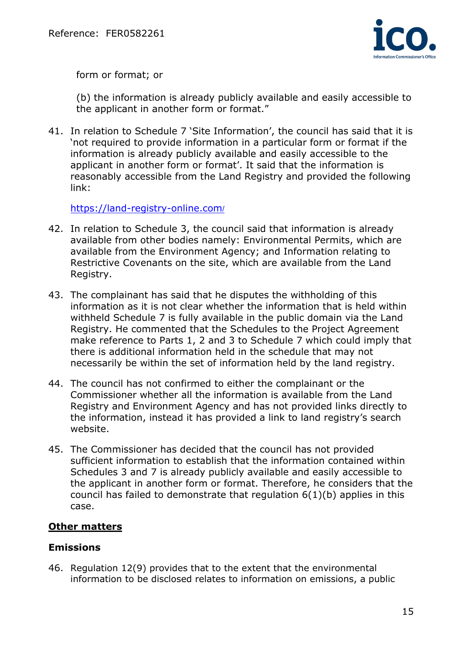

form or format; or

 (b) the information is already publicly available and easily accessible to the applicant in another form or format."

41. In relation to Schedule 7 'Site Information', the council has said that it is 'not required to provide information in a particular form or format if the information is already publicly available and easily accessible to the applicant in another form or format'. It said that the information is reasonably accessible from the Land Registry and provided the following link:

https://land-registry-online.com/

- 42. In relation to Schedule 3, the council said that information is already available from other bodies namely: Environmental Permits, which are available from the Environment Agency; and Information relating to Restrictive Covenants on the site, which are available from the Land Registry.
- 43. The complainant has said that he disputes the withholding of this information as it is not clear whether the information that is held within withheld Schedule 7 is fully available in the public domain via the Land Registry. He commented that the Schedules to the Project Agreement make reference to Parts 1, 2 and 3 to Schedule 7 which could imply that there is additional information held in the schedule that may not necessarily be within the set of information held by the land registry.
- 44. The council has not confirmed to either the complainant or the Commissioner whether all the information is available from the Land Registry and Environment Agency and has not provided links directly to the information, instead it has provided a link to land registry's search website.
- 45. The Commissioner has decided that the council has not provided sufficient information to establish that the information contained within Schedules 3 and 7 is already publicly available and easily accessible to the applicant in another form or format. Therefore, he considers that the council has failed to demonstrate that regulation 6(1)(b) applies in this case.

# **Other matters**

#### **Emissions**

46. Regulation 12(9) provides that to the extent that the environmental information to be disclosed relates to information on emissions, a public